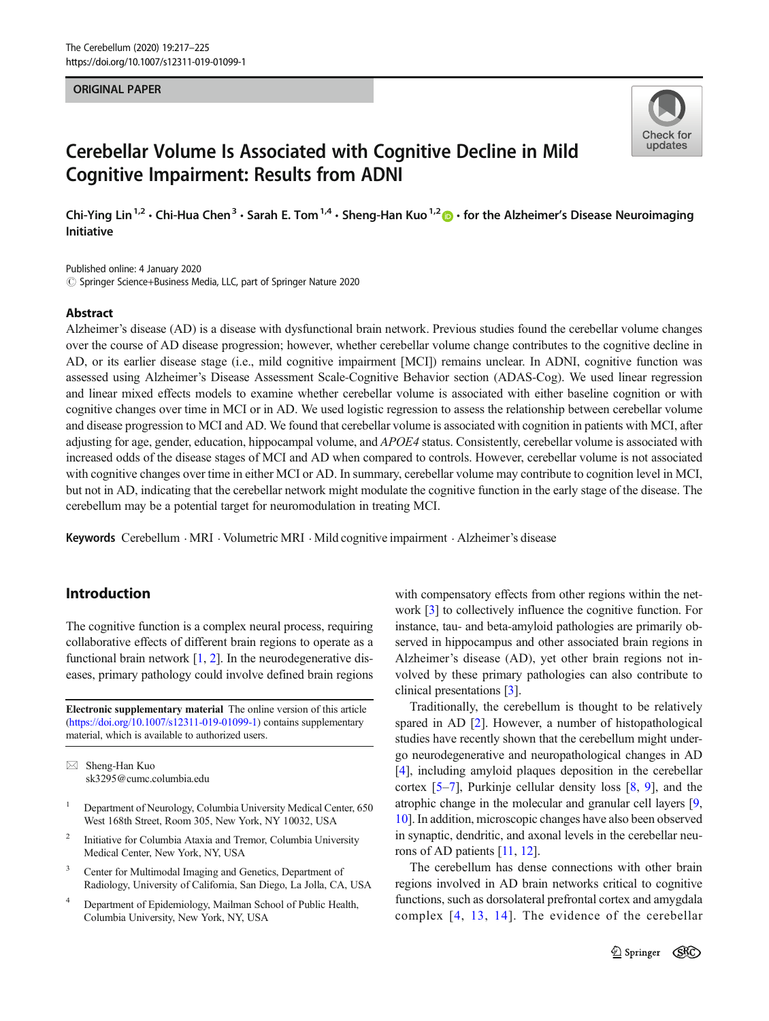#### **ORIGINAL PAPER** ORIGINAL PAPER



# Cerebellar Volume Is Associated with Cognitive Decline in Mild Cognitive Impairment: Results from ADNI

Chi-Ying Lin<sup>1,2</sup> • Chi-Hua Chen<sup>3</sup> • Sarah E. Tom<sup>1,4</sup> • Sheng-Han Kuo<sup>1,2</sup>  $\bullet$  • for the Alzheimer's Disease Neuroimaging<br>Initiative

Published online: 4 January 2020  $\odot$  Springer Science+Business Media, LLC, part of Springer Nature 2020

#### Abstract

Alzheimer's disease (AD) is a disease with dysfunctional brain network. Previous studies found the cerebellar volume changes over the course of AD disease progression; however, whether cerebellar volume change contributes to the cognitive decline in AD, or its earlier disease stage (i.e., mild cognitive impairment [MCI]) remains unclear. In ADNI, cognitive function was assessed using Alzheimer's Disease Assessment Scale-Cognitive Behavior section (ADAS-Cog). We used linear regression and linear mixed effects models to examine whether cerebellar volume is associated with either baseline cognition or with cognitive changes over time in MCI or in AD. We used logistic regression to assess the relationship between cerebellar volume and disease progression to MCI and AD. We found that cerebellar volume is associated with cognition in patients with MCI, after adjusting for age, gender, education, hippocampal volume, and APOE4 status. Consistently, cerebellar volume is associated with increased odds of the disease stages of MCI and AD when compared to controls. However, cerebellar volume is not associated with cognitive changes over time in either MCI or AD. In summary, cerebellar volume may contribute to cognition level in MCI, but not in AD, indicating that the cerebellar network might modulate the cognitive function in the early stage of the disease. The cerebellum may be a potential target for neuromodulation in treating MCI.

Keywords Cerebellum . MRI . Volumetric MRI . Mild cognitive impairment . Alzheimer's disease

# Introduction

The cognitive function is a complex neural process, requiring collaborative effects of different brain regions to operate as a functional brain network  $[1, 2]$  $[1, 2]$  $[1, 2]$  $[1, 2]$  $[1, 2]$ . In the neurodegenerative diseases, primary pathology could involve defined brain regions

Electronic supplementary material The online version of this article (<https://doi.org/10.1007/s12311-019-01099-1>) contains supplementary material, which is available to authorized users.

 $\boxtimes$  Sheng-Han Kuo [sk3295@cumc.columbia.edu](mailto:sk3295@cumc.columbia.edu)

- <sup>1</sup> Department of Neurology, Columbia University Medical Center, 650 West 168th Street, Room 305, New York, NY 10032, USA
- <sup>2</sup> Initiative for Columbia Ataxia and Tremor, Columbia University Medical Center, New York, NY, USA
- <sup>3</sup> Center for Multimodal Imaging and Genetics, Department of Radiology, University of California, San Diego, La Jolla, CA, USA
- <sup>4</sup> Department of Epidemiology, Mailman School of Public Health, Columbia University, New York, NY, USA

with compensatory effects from other regions within the network [\[3](#page-7-0)] to collectively influence the cognitive function. For instance, tau- and beta-amyloid pathologies are primarily observed in hippocampus and other associated brain regions in Alzheimer's disease (AD), yet other brain regions not involved by these primary pathologies can also contribute to clinical presentations [[3](#page-7-0)].

Traditionally, the cerebellum is thought to be relatively spared in AD [[2\]](#page-7-0). However, a number of histopathological studies have recently shown that the cerebellum might undergo neurodegenerative and neuropathological changes in AD [\[4](#page-7-0)], including amyloid plaques deposition in the cerebellar cortex [[5](#page-7-0)–[7\]](#page-7-0), Purkinje cellular density loss [\[8](#page-7-0), [9](#page-7-0)], and the atrophic change in the molecular and granular cell layers [[9,](#page-7-0) [10\]](#page-7-0). In addition, microscopic changes have also been observed in synaptic, dendritic, and axonal levels in the cerebellar neurons of AD patients [[11](#page-7-0), [12](#page-7-0)].

The cerebellum has dense connections with other brain regions involved in AD brain networks critical to cognitive functions, such as dorsolateral prefrontal cortex and amygdala complex [[4](#page-7-0), [13,](#page-7-0) [14\]](#page-7-0). The evidence of the cerebellar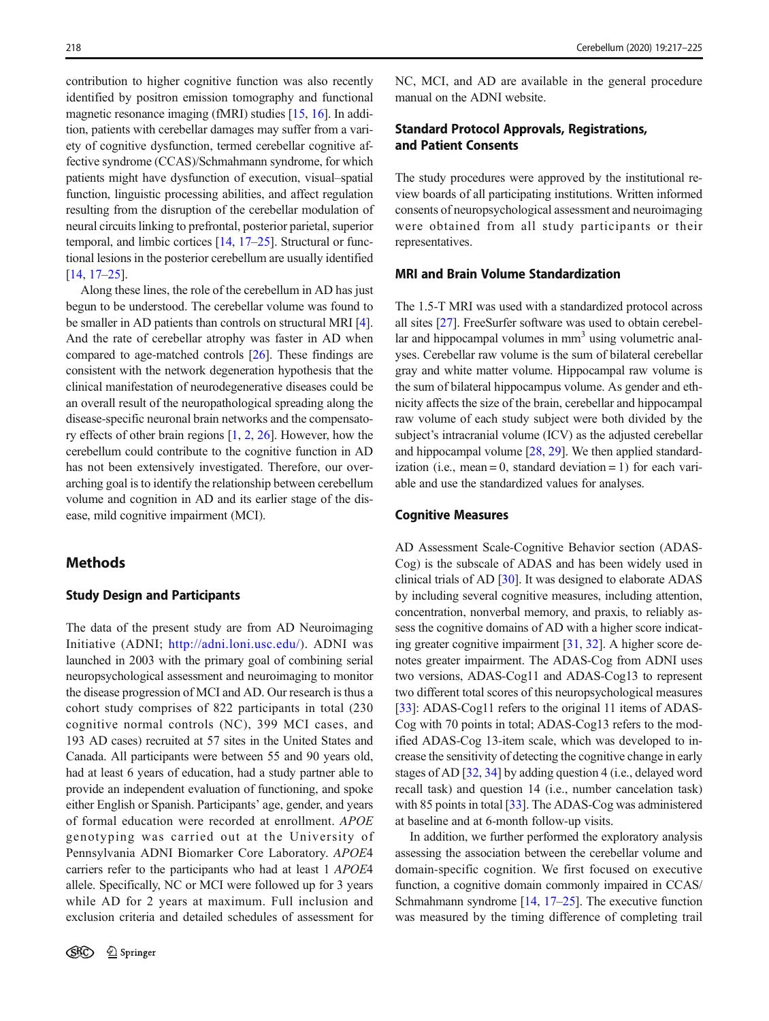contribution to higher cognitive function was also recently identified by positron emission tomography and functional magnetic resonance imaging (fMRI) studies [\[15](#page-7-0), [16\]](#page-7-0). In addition, patients with cerebellar damages may suffer from a variety of cognitive dysfunction, termed cerebellar cognitive affective syndrome (CCAS)/Schmahmann syndrome, for which patients might have dysfunction of execution, visual–spatial function, linguistic processing abilities, and affect regulation resulting from the disruption of the cerebellar modulation of neural circuits linking to prefrontal, posterior parietal, superior temporal, and limbic cortices [\[14,](#page-7-0) [17](#page-7-0)–[25](#page-7-0)]. Structural or functional lesions in the posterior cerebellum are usually identified [\[14,](#page-7-0) [17](#page-7-0)–[25](#page-7-0)].

Along these lines, the role of the cerebellum in AD has just begun to be understood. The cerebellar volume was found to be smaller in AD patients than controls on structural MRI [[4\]](#page-7-0). And the rate of cerebellar atrophy was faster in AD when compared to age-matched controls [[26\]](#page-7-0). These findings are consistent with the network degeneration hypothesis that the clinical manifestation of neurodegenerative diseases could be an overall result of the neuropathological spreading along the disease-specific neuronal brain networks and the compensatory effects of other brain regions [\[1](#page-7-0), [2](#page-7-0), [26](#page-7-0)]. However, how the cerebellum could contribute to the cognitive function in AD has not been extensively investigated. Therefore, our overarching goal is to identify the relationship between cerebellum volume and cognition in AD and its earlier stage of the disease, mild cognitive impairment (MCI).

# **Methods**

#### Study Design and Participants

The data of the present study are from AD Neuroimaging Initiative (ADNI; <http://adni.loni.usc.edu/>). ADNI was launched in 2003 with the primary goal of combining serial neuropsychological assessment and neuroimaging to monitor the disease progression of MCI and AD. Our research is thus a cohort study comprises of 822 participants in total (230 cognitive normal controls (NC), 399 MCI cases, and 193 AD cases) recruited at 57 sites in the United States and Canada. All participants were between 55 and 90 years old, had at least 6 years of education, had a study partner able to provide an independent evaluation of functioning, and spoke either English or Spanish. Participants' age, gender, and years of formal education were recorded at enrollment. APOE genotyping was carried out at the University of Pennsylvania ADNI Biomarker Core Laboratory. APOE<sup>4</sup> carriers refer to the participants who had at least 1 APOE<sup>4</sup> allele. Specifically, NC or MCI were followed up for 3 years while AD for 2 years at maximum. Full inclusion and exclusion criteria and detailed schedules of assessment for

NC, MCI, and AD are available in the general procedure manual on the ADNI website.

# Standard Protocol Approvals, Registrations, and Patient Consents

The study procedures were approved by the institutional review boards of all participating institutions. Written informed consents of neuropsychological assessment and neuroimaging were obtained from all study participants or their representatives.

### MRI and Brain Volume Standardization

The 1.5-T MRI was used with a standardized protocol across all sites [\[27\]](#page-7-0). FreeSurfer software was used to obtain cerebellar and hippocampal volumes in  $mm<sup>3</sup>$  using volumetric analyses. Cerebellar raw volume is the sum of bilateral cerebellar gray and white matter volume. Hippocampal raw volume is the sum of bilateral hippocampus volume. As gender and ethnicity affects the size of the brain, cerebellar and hippocampal raw volume of each study subject were both divided by the subject's intracranial volume (ICV) as the adjusted cerebellar and hippocampal volume [\[28,](#page-8-0) [29\]](#page-8-0). We then applied standardization (i.e., mean = 0, standard deviation = 1) for each variable and use the standardized values for analyses.

#### Cognitive Measures

AD Assessment Scale-Cognitive Behavior section (ADAS-Cog) is the subscale of ADAS and has been widely used in clinical trials of AD [[30\]](#page-8-0). It was designed to elaborate ADAS by including several cognitive measures, including attention, concentration, nonverbal memory, and praxis, to reliably assess the cognitive domains of AD with a higher score indicating greater cognitive impairment [\[31,](#page-8-0) [32\]](#page-8-0). A higher score denotes greater impairment. The ADAS-Cog from ADNI uses two versions, ADAS-Cog11 and ADAS-Cog13 to represent two different total scores of this neuropsychological measures [\[33](#page-8-0)]: ADAS-Cog11 refers to the original 11 items of ADAS-Cog with 70 points in total; ADAS-Cog13 refers to the modified ADAS-Cog 13-item scale, which was developed to increase the sensitivity of detecting the cognitive change in early stages of AD [\[32](#page-8-0), [34](#page-8-0)] by adding question 4 (i.e., delayed word recall task) and question 14 (i.e., number cancelation task) with 85 points in total [[33](#page-8-0)]. The ADAS-Cog was administered at baseline and at 6-month follow-up visits.

In addition, we further performed the exploratory analysis assessing the association between the cerebellar volume and domain-specific cognition. We first focused on executive function, a cognitive domain commonly impaired in CCAS/ Schmahmann syndrome  $[14, 17-25]$  $[14, 17-25]$  $[14, 17-25]$  $[14, 17-25]$  $[14, 17-25]$ . The executive function was measured by the timing difference of completing trail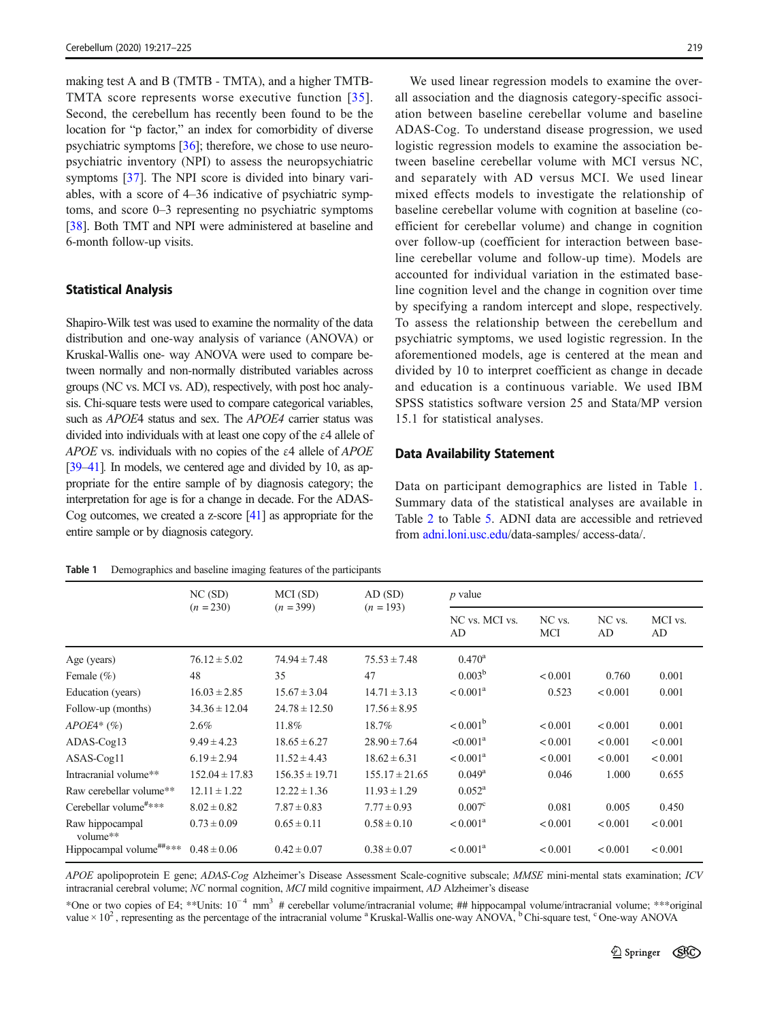<span id="page-2-0"></span>making test A and B (TMTB - TMTA), and a higher TMTB-TMTA score represents worse executive function [[35](#page-8-0)]. Second, the cerebellum has recently been found to be the location for "p factor," an index for comorbidity of diverse psychiatric symptoms [[36](#page-8-0)]; therefore, we chose to use neuropsychiatric inventory (NPI) to assess the neuropsychiatric symptoms [\[37](#page-8-0)]. The NPI score is divided into binary variables, with a score of 4–36 indicative of psychiatric symptoms, and score 0–3 representing no psychiatric symptoms [\[38\]](#page-8-0). Both TMT and NPI were administered at baseline and 6-month follow-up visits.

#### Statistical Analysis

Shapiro-Wilk test was used to examine the normality of the data distribution and one-way analysis of variance (ANOVA) or Kruskal-Wallis one- way ANOVA were used to compare between normally and non-normally distributed variables across groups (NC vs. MCI vs. AD), respectively, with post hoc analysis. Chi-square tests were used to compare categorical variables, such as *APOE4* status and sex. The *APOE4* carrier status was divided into individuals with at least one copy of the ε4 allele of APOE vs. individuals with no copies of the <sup>ε</sup>4 allele of APOE [\[39](#page-8-0)–[41](#page-8-0)]. In models, we centered age and divided by 10, as appropriate for the entire sample of by diagnosis category; the interpretation for age is for a change in decade. For the ADAS-Cog outcomes, we created a z-score [\[41\]](#page-8-0) as appropriate for the entire sample or by diagnosis category.

We used linear regression models to examine the overall association and the diagnosis category-specific association between baseline cerebellar volume and baseline ADAS-Cog. To understand disease progression, we used logistic regression models to examine the association between baseline cerebellar volume with MCI versus NC, and separately with AD versus MCI. We used linear mixed effects models to investigate the relationship of baseline cerebellar volume with cognition at baseline (coefficient for cerebellar volume) and change in cognition over follow-up (coefficient for interaction between baseline cerebellar volume and follow-up time). Models are accounted for individual variation in the estimated baseline cognition level and the change in cognition over time by specifying a random intercept and slope, respectively. To assess the relationship between the cerebellum and psychiatric symptoms, we used logistic regression. In the aforementioned models, age is centered at the mean and divided by 10 to interpret coefficient as change in decade and education is a continuous variable. We used IBM SPSS statistics software version 25 and Stata/MP version 15.1 for statistical analyses.

#### Data Availability Statement

Data on participant demographics are listed in Table 1. Summary data of the statistical analyses are available in Table [2](#page-3-0) to Table [5.](#page-6-0) ADNI data are accessible and retrieved from [adni.loni.usc.edu](http://adni.loni.usc.edu)/data-samples/ access-data/.

Table 1 Demographics and baseline imaging features of the participants

|                                     | NC(SD)<br>$(n = 230)$ | MCI (SD)<br>$(n = 399)$ | AD (SD)<br>$(n = 193)$ | $p$ value            |               |              |               |
|-------------------------------------|-----------------------|-------------------------|------------------------|----------------------|---------------|--------------|---------------|
|                                     |                       |                         |                        | NC vs. MCI vs.<br>AD | NC vs.<br>MCI | NC vs.<br>AD | MCI vs.<br>AD |
| Age (years)                         | $76.12 \pm 5.02$      | $74.94 \pm 7.48$        | $75.53 \pm 7.48$       | $0.470^{\rm a}$      |               |              |               |
| Female $(\% )$                      | 48                    | 35                      | 47                     | $0.003^{\rm b}$      | < 0.001       | 0.760        | 0.001         |
| Education (years)                   | $16.03 \pm 2.85$      | $15.67 \pm 3.04$        | $14.71 \pm 3.13$       | $< 0.001^{\rm a}$    | 0.523         | ${}_{0.001}$ | 0.001         |
| Follow-up (months)                  | $34.36 \pm 12.04$     | $24.78 \pm 12.50$       | $17.56 \pm 8.95$       |                      |               |              |               |
| $APOE4*(\%)$                        | $2.6\%$               | 11.8%                   | 18.7%                  | $< 0.001^{\rm b}$    | < 0.001       | < 0.001      | 0.001         |
| $ADAS-Cog13$                        | $9.49 \pm 4.23$       | $18.65 \pm 6.27$        | $28.90 \pm 7.64$       | $< 0.001^a$          | < 0.001       | < 0.001      | < 0.001       |
| ASAS-Cog11                          | $6.19 \pm 2.94$       | $11.52 \pm 4.43$        | $18.62 \pm 6.31$       | $< 0.001^{\rm a}$    | < 0.001       | < 0.001      | < 0.001       |
| Intracranial volume**               | $152.04 \pm 17.83$    | $156.35 \pm 19.71$      | $155.17 \pm 21.65$     | $0.049^{\rm a}$      | 0.046         | 1.000        | 0.655         |
| Raw cerebellar volume**             | $12.11 \pm 1.22$      | $12.22 \pm 1.36$        | $11.93 \pm 1.29$       | $0.052^{\rm a}$      |               |              |               |
| Cerebellar volume#***               | $8.02 \pm 0.82$       | $7.87 \pm 0.83$         | $7.77 \pm 0.93$        | 0.007 <sup>c</sup>   | 0.081         | 0.005        | 0.450         |
| Raw hippocampal<br>volume**         | $0.73 \pm 0.09$       | $0.65 \pm 0.11$         | $0.58 \pm 0.10$        | $< 0.001^{\rm a}$    | < 0.001       | < 0.001      | < 0.001       |
| Hippocampal volume <sup>##***</sup> | $0.48 \pm 0.06$       | $0.42 \pm 0.07$         | $0.38 \pm 0.07$        | $< 0.001^{\rm a}$    | < 0.001       | < 0.001      | < 0.001       |

APOE apolipoprotein E gene; ADAS-Cog Alzheimer's Disease Assessment Scale-cognitive subscale; MMSE mini-mental stats examination; ICV intracranial cerebral volume; NC normal cognition, MCI mild cognitive impairment, AD Alzheimer's disease

\*One or two copies of E4; \*\*Units: 10<sup>−</sup> <sup>4</sup> mm3 # cerebellar volume/intracranial volume; ## hippocampal volume/intracranial volume; \*\*\*original value  $\times$  10<sup>2</sup>, representing as the percentage of the intracranial volume <sup>a</sup> Kruskal-Wallis one-way ANOVA, <sup>b</sup> Chi-square test, <sup>c</sup> One-way ANOVA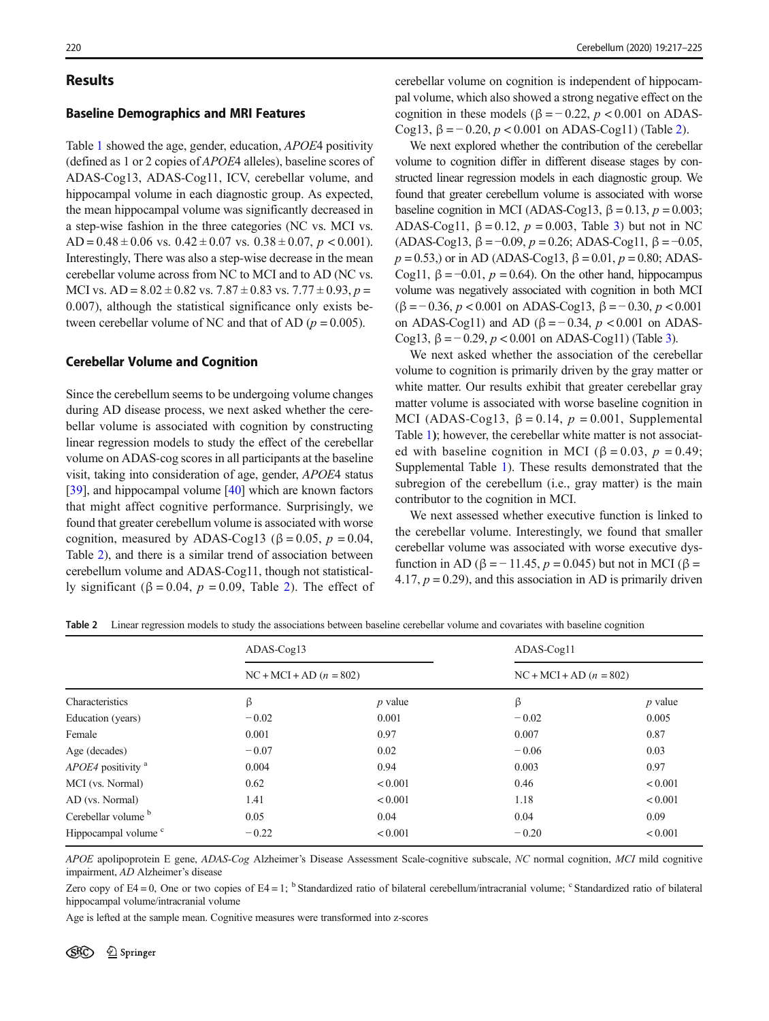### <span id="page-3-0"></span>Results

#### Baseline Demographics and MRI Features

Table [1](#page-2-0) showed the age, gender, education, APOE4 positivity (defined as 1 or 2 copies of APOE4 alleles), baseline scores of ADAS-Cog13, ADAS-Cog11, ICV, cerebellar volume, and hippocampal volume in each diagnostic group. As expected, the mean hippocampal volume was significantly decreased in a step-wise fashion in the three categories (NC vs. MCI vs. AD =  $0.48 \pm 0.06$  vs.  $0.42 \pm 0.07$  vs.  $0.38 \pm 0.07$ ,  $p < 0.001$ ). Interestingly, There was also a step-wise decrease in the mean cerebellar volume across from NC to MCI and to AD (NC vs. MCI vs.  $AD = 8.02 \pm 0.82$  vs.  $7.87 \pm 0.83$  vs.  $7.77 \pm 0.93$ ,  $p =$ 0.007), although the statistical significance only exists between cerebellar volume of NC and that of AD ( $p = 0.005$ ).

#### Cerebellar Volume and Cognition

Since the cerebellum seems to be undergoing volume changes during AD disease process, we next asked whether the cerebellar volume is associated with cognition by constructing linear regression models to study the effect of the cerebellar volume on ADAS-cog scores in all participants at the baseline visit, taking into consideration of age, gender, APOE4 status [\[39\]](#page-8-0), and hippocampal volume [\[40\]](#page-8-0) which are known factors that might affect cognitive performance. Surprisingly, we found that greater cerebellum volume is associated with worse cognition, measured by ADAS-Cog13 ( $\beta = 0.05$ ,  $p = 0.04$ , Table 2), and there is a similar trend of association between cerebellum volume and ADAS-Cog11, though not statistically significant (β = 0.04,  $p = 0.09$ , Table 2). The effect of cerebellar volume on cognition is independent of hippocampal volume, which also showed a strong negative effect on the cognition in these models ( $\beta = -0.22$ ,  $p < 0.001$  on ADAS-Cog13,  $β = -0.20$ ,  $p < 0.001$  on ADAS-Cog11) (Table 2).

We next explored whether the contribution of the cerebellar volume to cognition differ in different disease stages by constructed linear regression models in each diagnostic group. We found that greater cerebellum volume is associated with worse baseline cognition in MCI (ADAS-Cog13,  $\beta = 0.13$ ,  $p = 0.003$ ; ADAS-Cog11,  $\beta = 0.12$ ,  $p = 0.003$  $p = 0.003$ , Table 3) but not in NC (ADAS-Cog13,  $\beta = -0.09$ ,  $p = 0.26$ ; ADAS-Cog11,  $\beta = -0.05$ ,  $p = 0.53$ ,) or in AD (ADAS-Cog13,  $\beta = 0.01$ ,  $p = 0.80$ ; ADAS-Cog11,  $\beta = -0.01$ ,  $p = 0.64$ ). On the other hand, hippocampus volume was negatively associated with cognition in both MCI ( $\beta$  = −0.36, p < 0.001 on ADAS-Cog13,  $\beta$  = −0.30, p < 0.001 on ADAS-Cog11) and AD ( $\beta$  = -0.34, p < 0.001 on ADAS-Cog1[3](#page-4-0),  $β = 0.29$ ,  $p < 0.001$  on ADAS-Cog11) (Table 3).

We next asked whether the association of the cerebellar volume to cognition is primarily driven by the gray matter or white matter. Our results exhibit that greater cerebellar gray matter volume is associated with worse baseline cognition in MCI (ADAS-Cog13,  $\beta = 0.14$ ,  $p = 0.001$ , Supplemental Table 1); however, the cerebellar white matter is not associated with baseline cognition in MCI ( $\beta = 0.03$ ,  $p = 0.49$ ; Supplemental Table 1). These results demonstrated that the subregion of the cerebellum (i.e., gray matter) is the main contributor to the cognition in MCI.

We next assessed whether executive function is linked to the cerebellar volume. Interestingly, we found that smaller cerebellar volume was associated with worse executive dysfunction in AD ( $\beta$  = − 11.45,  $p$  = 0.045) but not in MCI ( $\beta$  = 4.17,  $p = 0.29$ , and this association in AD is primarily driven

Table 2 Linear regression models to study the associations between baseline cerebellar volume and covariates with baseline cognition

|                                 | $ADAS-Cog13$              |              | ADAS-Cog11                |              |  |
|---------------------------------|---------------------------|--------------|---------------------------|--------------|--|
| Characteristics                 | $NC + MCI + AD (n = 802)$ |              | $NC + MCI + AD (n = 802)$ |              |  |
|                                 | β                         | $p$ value    | β                         | $p$ value    |  |
| Education (years)               | $-0.02$                   | 0.001        | $-0.02$                   | 0.005        |  |
| Female                          | 0.001                     | 0.97         | 0.007                     | 0.87         |  |
| Age (decades)                   | $-0.07$                   | 0.02         | $-0.06$                   | 0.03         |  |
| APOE4 positivity <sup>a</sup>   | 0.004                     | 0.94         | 0.003                     | 0.97         |  |
| MCI (vs. Normal)                | 0.62                      | < 0.001      | 0.46                      | < 0.001      |  |
| AD (vs. Normal)                 | 1.41                      | < 0.001      | 1.18                      | < 0.001      |  |
| Cerebellar volume <sup>b</sup>  | 0.05                      | 0.04         | 0.04                      | 0.09         |  |
| Hippocampal volume <sup>c</sup> | $-0.22$                   | ${}_{0.001}$ | $-0.20$                   | ${}_{0.001}$ |  |

APOE apolipoprotein E gene, ADAS-Cog Alzheimer's Disease Assessment Scale-cognitive subscale, NC normal cognition, MCI mild cognitive impairment, AD Alzheimer's disease

Zero copy of E4 = 0, One or two copies of E4 = 1; <sup>b</sup> Standardized ratio of bilateral cerebellum/intracranial volume;  $\degree$  Standardized ratio of bilateral hippocampal volume/intracranial volume

Age is lefted at the sample mean. Cognitive measures were transformed into z-scores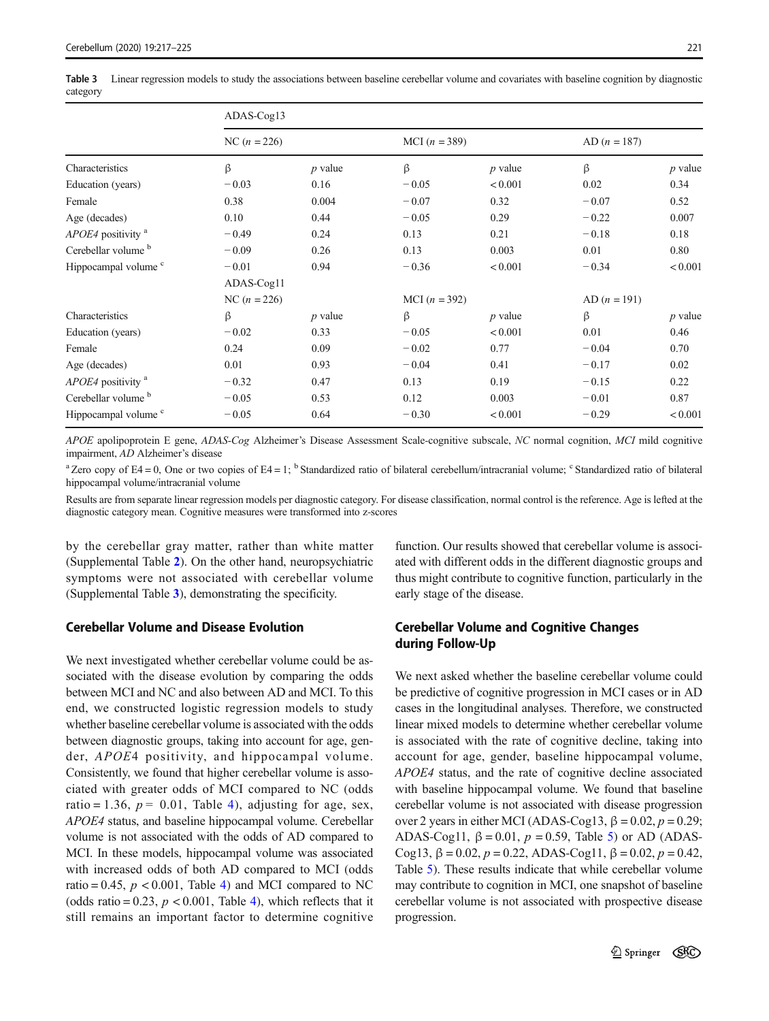<span id="page-4-0"></span>Table 3 Linear regression models to study the associations between baseline cerebellar volume and covariates with baseline cognition by diagnostic category

|                                 | ADAS-Cog13     |           |                 |           |                |           |  |  |  |  |
|---------------------------------|----------------|-----------|-----------------|-----------|----------------|-----------|--|--|--|--|
| Characteristics                 | NC $(n = 226)$ |           | MCI $(n = 389)$ |           | $AD (n = 187)$ |           |  |  |  |  |
|                                 | ß              | $p$ value | $\beta$         | $p$ value | ß              | $p$ value |  |  |  |  |
| Education (years)               | $-0.03$        | 0.16      | $-0.05$         | < 0.001   | 0.02           | 0.34      |  |  |  |  |
| Female                          | 0.38           | 0.004     | $-0.07$         | 0.32      | $-0.07$        | 0.52      |  |  |  |  |
| Age (decades)                   | 0.10           | 0.44      | $-0.05$         | 0.29      | $-0.22$        | 0.007     |  |  |  |  |
| APOE4 positivity <sup>a</sup>   | $-0.49$        | 0.24      | 0.13            | 0.21      | $-0.18$        | 0.18      |  |  |  |  |
| Cerebellar volume <sup>b</sup>  | $-0.09$        | 0.26      | 0.13            | 0.003     | 0.01           | 0.80      |  |  |  |  |
| Hippocampal volume <sup>c</sup> | $-0.01$        | 0.94      | $-0.36$         | < 0.001   | $-0.34$        | < 0.001   |  |  |  |  |
|                                 | ADAS-Cog11     |           |                 |           |                |           |  |  |  |  |
|                                 | NC $(n = 226)$ |           | MCI $(n = 392)$ |           | AD $(n = 191)$ |           |  |  |  |  |
| Characteristics                 | β              | $p$ value | $\beta$         | $p$ value | β              | $p$ value |  |  |  |  |
| Education (years)               | $-0.02$        | 0.33      | $-0.05$         | < 0.001   | 0.01           | 0.46      |  |  |  |  |
| Female                          | 0.24           | 0.09      | $-0.02$         | 0.77      | $-0.04$        | 0.70      |  |  |  |  |
| Age (decades)                   | 0.01           | 0.93      | $-0.04$         | 0.41      | $-0.17$        | 0.02      |  |  |  |  |
| APOE4 positivity <sup>a</sup>   | $-0.32$        | 0.47      | 0.13            | 0.19      | $-0.15$        | 0.22      |  |  |  |  |
| Cerebellar volume b             | $-0.05$        | 0.53      | 0.12            | 0.003     | $-0.01$        | 0.87      |  |  |  |  |
| Hippocampal volume <sup>c</sup> | $-0.05$        | 0.64      | $-0.30$         | < 0.001   | $-0.29$        | < 0.001   |  |  |  |  |

APOE apolipoprotein E gene, ADAS-Cog Alzheimer's Disease Assessment Scale-cognitive subscale, NC normal cognition, MCI mild cognitive impairment, AD Alzheimer's disease

<sup>a</sup> Zero copy of E4 = 0, One or two copies of E4 = 1; <sup>b</sup> Standardized ratio of bilateral cerebellum/intracranial volume; <sup>c</sup> Standardized ratio of bilateral hippocampal volume/intracranial volume

Results are from separate linear regression models per diagnostic category. For disease classification, normal control is the reference. Age is lefted at the diagnostic category mean. Cognitive measures were transformed into z-scores

by the cerebellar gray matter, rather than white matter (Supplemental Table 2). On the other hand, neuropsychiatric symptoms were not associated with cerebellar volume (Supplemental Table 3), demonstrating the specificity.

### Cerebellar Volume and Disease Evolution

We next investigated whether cerebellar volume could be associated with the disease evolution by comparing the odds between MCI and NC and also between AD and MCI. To this end, we constructed logistic regression models to study whether baseline cerebellar volume is associated with the odds between diagnostic groups, taking into account for age, gender, APOE4 positivity, and hippocampal volume. Consistently, we found that higher cerebellar volume is associated with greater odds of MCI compared to NC (odds ratio = 1.36,  $p = 0.01$ , Table [4\)](#page-5-0), adjusting for age, sex, APOE4 status, and baseline hippocampal volume. Cerebellar volume is not associated with the odds of AD compared to MCI. In these models, hippocampal volume was associated with increased odds of both AD compared to MCI (odds ratio = 0.[4](#page-5-0)5,  $p < 0.001$ , Table 4) and MCI compared to NC (odds ratio = 0.23,  $p < 0.001$ , Table [4\)](#page-5-0), which reflects that it still remains an important factor to determine cognitive

function. Our results showed that cerebellar volume is associated with different odds in the different diagnostic groups and thus might contribute to cognitive function, particularly in the early stage of the disease.

# Cerebellar Volume and Cognitive Changes during Follow-Up

We next asked whether the baseline cerebellar volume could be predictive of cognitive progression in MCI cases or in AD cases in the longitudinal analyses. Therefore, we constructed linear mixed models to determine whether cerebellar volume is associated with the rate of cognitive decline, taking into account for age, gender, baseline hippocampal volume, APOE4 status, and the rate of cognitive decline associated with baseline hippocampal volume. We found that baseline cerebellar volume is not associated with disease progression over 2 years in either MCI (ADAS-Cog13,  $β = 0.02, p = 0.29;$ ADAS-Cog11,  $\beta = 0.01$ ,  $p = 0.59$  $p = 0.59$  $p = 0.59$ , Table 5) or AD (ADAS-Cog13,  $β = 0.02$ ,  $p = 0.22$ , ADAS-Cog11,  $β = 0.02$ ,  $p = 0.42$ , Table [5\)](#page-6-0). These results indicate that while cerebellar volume may contribute to cognition in MCI, one snapshot of baseline cerebellar volume is not associated with prospective disease progression.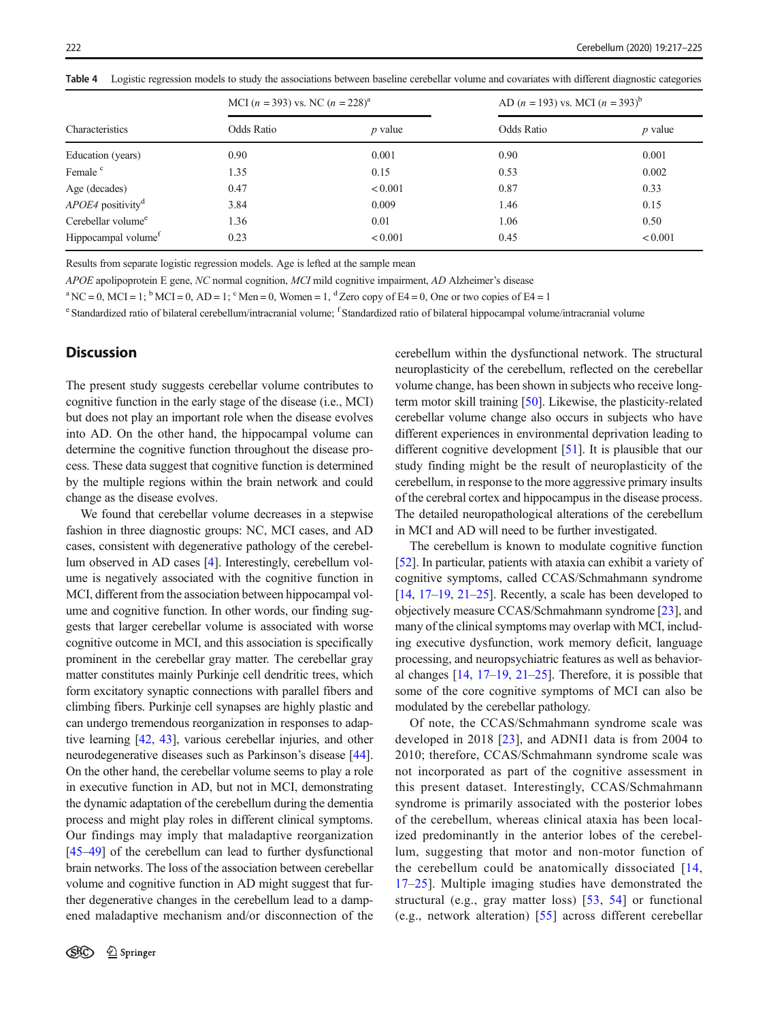<span id="page-5-0"></span>Table 4 Logistic regression models to study the associations between baseline cerebellar volume and covariates with different diagnostic categories

| Characteristics                 | MCI $(n = 393)$ vs. NC $(n = 228)^{a}$ |           | AD $(n = 193)$ vs. MCI $(n = 393)^{6}$ |           |  |
|---------------------------------|----------------------------------------|-----------|----------------------------------------|-----------|--|
|                                 | Odds Ratio                             | $p$ value | Odds Ratio                             | $p$ value |  |
| Education (years)               | 0.90                                   | 0.001     | 0.90                                   | 0.001     |  |
| Female <sup>c</sup>             | 1.35                                   | 0.15      | 0.53                                   | 0.002     |  |
| Age (decades)                   | 0.47                                   | < 0.001   | 0.87                                   | 0.33      |  |
| APOE4 positivity <sup>d</sup>   | 3.84                                   | 0.009     | 1.46                                   | 0.15      |  |
| Cerebellar volume <sup>e</sup>  | 1.36                                   | 0.01      | 1.06                                   | 0.50      |  |
| Hippocampal volume <sup>f</sup> | 0.23                                   | < 0.001   | 0.45                                   | < 0.001   |  |

Results from separate logistic regression models. Age is lefted at the sample mean

APOE apolipoprotein E gene, NC normal cognition, MCI mild cognitive impairment, AD Alzheimer's disease

 ${}^{a}$  NC = 0, MCI = 1;  ${}^{b}$  MCI = 0, AD = 1;  ${}^{c}$  Men = 0, Women = 1,  ${}^{d}$  Zero copy of E4 = 0, One or two copies of E4 = 1

<sup>e</sup> Standardized ratio of bilateral cerebellum/intracranial volume; <sup>f</sup> Standardized ratio of bilateral hippocampal volume/intracranial volume

# **Discussion**

The present study suggests cerebellar volume contributes to cognitive function in the early stage of the disease (i.e., MCI) but does not play an important role when the disease evolves into AD. On the other hand, the hippocampal volume can determine the cognitive function throughout the disease process. These data suggest that cognitive function is determined by the multiple regions within the brain network and could change as the disease evolves.

We found that cerebellar volume decreases in a stepwise fashion in three diagnostic groups: NC, MCI cases, and AD cases, consistent with degenerative pathology of the cerebellum observed in AD cases [\[4\]](#page-7-0). Interestingly, cerebellum volume is negatively associated with the cognitive function in MCI, different from the association between hippocampal volume and cognitive function. In other words, our finding suggests that larger cerebellar volume is associated with worse cognitive outcome in MCI, and this association is specifically prominent in the cerebellar gray matter. The cerebellar gray matter constitutes mainly Purkinje cell dendritic trees, which form excitatory synaptic connections with parallel fibers and climbing fibers. Purkinje cell synapses are highly plastic and can undergo tremendous reorganization in responses to adaptive learning [[42](#page-8-0), [43](#page-8-0)], various cerebellar injuries, and other neurodegenerative diseases such as Parkinson's disease [[44\]](#page-8-0). On the other hand, the cerebellar volume seems to play a role in executive function in AD, but not in MCI, demonstrating the dynamic adaptation of the cerebellum during the dementia process and might play roles in different clinical symptoms. Our findings may imply that maladaptive reorganization [\[45](#page-8-0)–[49\]](#page-8-0) of the cerebellum can lead to further dysfunctional brain networks. The loss of the association between cerebellar volume and cognitive function in AD might suggest that further degenerative changes in the cerebellum lead to a dampened maladaptive mechanism and/or disconnection of the cerebellum within the dysfunctional network. The structural neuroplasticity of the cerebellum, reflected on the cerebellar volume change, has been shown in subjects who receive longterm motor skill training [\[50\]](#page-8-0). Likewise, the plasticity-related cerebellar volume change also occurs in subjects who have different experiences in environmental deprivation leading to different cognitive development [\[51\]](#page-8-0). It is plausible that our study finding might be the result of neuroplasticity of the cerebellum, in response to the more aggressive primary insults of the cerebral cortex and hippocampus in the disease process. The detailed neuropathological alterations of the cerebellum in MCI and AD will need to be further investigated.

The cerebellum is known to modulate cognitive function [\[52](#page-8-0)]. In particular, patients with ataxia can exhibit a variety of cognitive symptoms, called CCAS/Schmahmann syndrome [\[14](#page-7-0), [17](#page-7-0)–[19](#page-7-0), [21](#page-7-0)–[25\]](#page-7-0). Recently, a scale has been developed to objectively measure CCAS/Schmahmann syndrome [[23](#page-7-0)], and many of the clinical symptoms may overlap with MCI, including executive dysfunction, work memory deficit, language processing, and neuropsychiatric features as well as behavioral changes [\[14,](#page-7-0) [17](#page-7-0)–[19,](#page-7-0) [21](#page-7-0)–[25](#page-7-0)]. Therefore, it is possible that some of the core cognitive symptoms of MCI can also be modulated by the cerebellar pathology.

Of note, the CCAS/Schmahmann syndrome scale was developed in 2018 [\[23](#page-7-0)], and ADNI1 data is from 2004 to 2010; therefore, CCAS/Schmahmann syndrome scale was not incorporated as part of the cognitive assessment in this present dataset. Interestingly, CCAS/Schmahmann syndrome is primarily associated with the posterior lobes of the cerebellum, whereas clinical ataxia has been localized predominantly in the anterior lobes of the cerebellum, suggesting that motor and non-motor function of the cerebellum could be anatomically dissociated [\[14,](#page-7-0) [17](#page-7-0)–[25\]](#page-7-0). Multiple imaging studies have demonstrated the structural (e.g., gray matter loss) [[53,](#page-8-0) [54](#page-8-0)] or functional (e.g., network alteration) [[55](#page-8-0)] across different cerebellar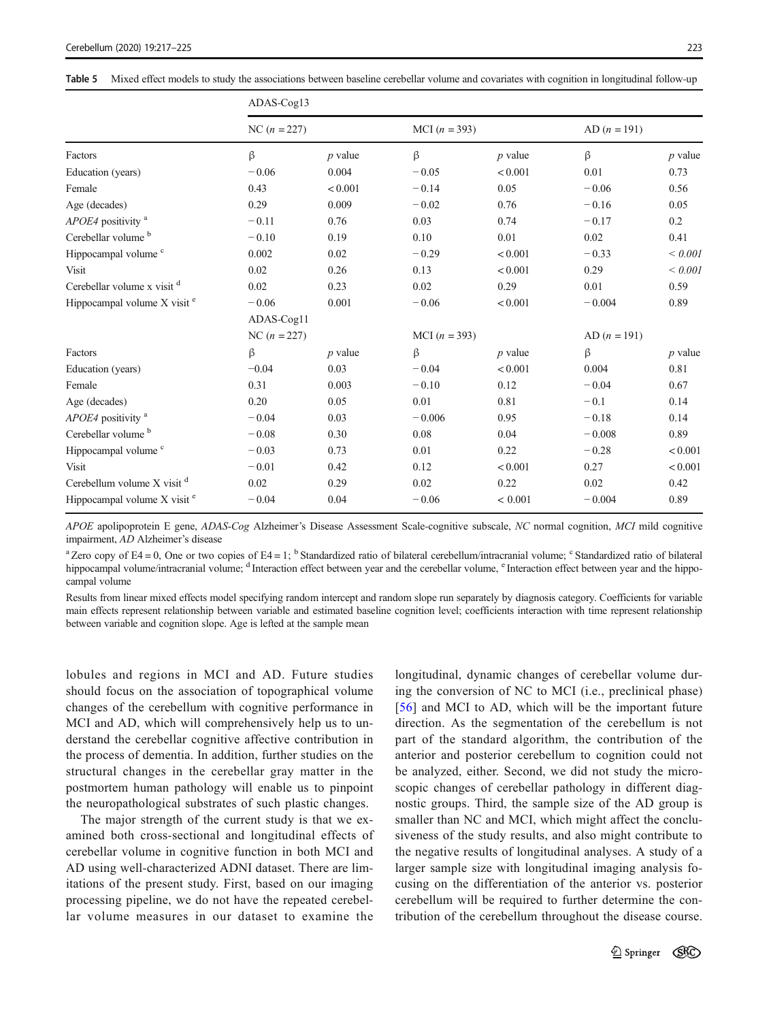<span id="page-6-0"></span>

|                                         | ADAS-Cog13     |           |                 |           |                |             |  |  |  |  |
|-----------------------------------------|----------------|-----------|-----------------|-----------|----------------|-------------|--|--|--|--|
|                                         | $NC (n = 227)$ |           | MCI $(n = 393)$ |           | $AD (n = 191)$ |             |  |  |  |  |
| Factors                                 | $\beta$        | $p$ value | β               | $p$ value | $\beta$        | $p$ value   |  |  |  |  |
| Education (years)                       | $-0.06$        | 0.004     | $-0.05$         | < 0.001   | 0.01           | 0.73        |  |  |  |  |
| Female                                  | 0.43           | < 0.001   | $-0.14$         | 0.05      | $-0.06$        | 0.56        |  |  |  |  |
| Age (decades)                           | 0.29           | 0.009     | $-0.02$         | 0.76      | $-0.16$        | 0.05        |  |  |  |  |
| APOE4 positivity <sup>a</sup>           | $-0.11$        | 0.76      | 0.03            | 0.74      | $-0.17$        | 0.2         |  |  |  |  |
| Cerebellar volume <sup>b</sup>          | $-0.10$        | 0.19      | 0.10            | 0.01      | 0.02           | 0.41        |  |  |  |  |
| Hippocampal volume <sup>c</sup>         | 0.002          | 0.02      | $-0.29$         | < 0.001   | $-0.33$        | ${}< 0.001$ |  |  |  |  |
| Visit                                   | 0.02           | 0.26      | 0.13            | < 0.001   | 0.29           | ${}< 0.001$ |  |  |  |  |
| Cerebellar volume x visit d             | 0.02           | 0.23      | 0.02            | 0.29      | 0.01           | 0.59        |  |  |  |  |
| Hippocampal volume $X$ visit $e$        | $-0.06$        | 0.001     | $-0.06$         | < 0.001   | $-0.004$       | 0.89        |  |  |  |  |
|                                         | ADAS-Cog11     |           |                 |           |                |             |  |  |  |  |
|                                         | $NC (n = 227)$ |           | MCI $(n = 393)$ |           | $AD (n = 191)$ |             |  |  |  |  |
| Factors                                 | β              | $p$ value | β               | $p$ value | β              | $p$ value   |  |  |  |  |
| Education (years)                       | $-0.04$        | 0.03      | $-0.04$         | < 0.001   | 0.004          | 0.81        |  |  |  |  |
| Female                                  | 0.31           | 0.003     | $-0.10$         | 0.12      | $-0.04$        | 0.67        |  |  |  |  |
| Age (decades)                           | 0.20           | 0.05      | 0.01            | 0.81      | $-0.1$         | 0.14        |  |  |  |  |
| APOE4 positivity <sup>a</sup>           | $-0.04$        | 0.03      | $-0.006$        | 0.95      | $-0.18$        | 0.14        |  |  |  |  |
| Cerebellar volume <sup>b</sup>          | $-0.08$        | 0.30      | 0.08            | 0.04      | $-0.008$       | 0.89        |  |  |  |  |
| Hippocampal volume <sup>c</sup>         | $-0.03$        | 0.73      | 0.01            | 0.22      | $-0.28$        | < 0.001     |  |  |  |  |
| Visit                                   | $-0.01$        | 0.42      | 0.12            | < 0.001   | 0.27           | < 0.001     |  |  |  |  |
| Cerebellum volume $X$ visit $d$         | 0.02           | 0.29      | 0.02            | 0.22      | 0.02           | 0.42        |  |  |  |  |
| Hippocampal volume X visit <sup>e</sup> | $-0.04$        | 0.04      | $-0.06$         | < 0.001   | $-0.004$       | 0.89        |  |  |  |  |

APOE apolipoprotein E gene, ADAS-Cog Alzheimer's Disease Assessment Scale-cognitive subscale, NC normal cognition, MCI mild cognitive impairment, AD Alzheimer's disease

<sup>a</sup> Zero copy of E4 = 0, One or two copies of E4 = 1; <sup>b</sup> Standardized ratio of bilateral cerebellum/intracranial volume; <sup>c</sup> Standardized ratio of bilateral hippocampal volume/intracranial volume; <sup>d</sup> Interaction effect between year and the cerebellar volume, <sup>e</sup> Interaction effect between year and the hippocampal volume

Results from linear mixed effects model specifying random intercept and random slope run separately by diagnosis category. Coefficients for variable main effects represent relationship between variable and estimated baseline cognition level; coefficients interaction with time represent relationship between variable and cognition slope. Age is lefted at the sample mean

lobules and regions in MCI and AD. Future studies should focus on the association of topographical volume changes of the cerebellum with cognitive performance in MCI and AD, which will comprehensively help us to understand the cerebellar cognitive affective contribution in the process of dementia. In addition, further studies on the structural changes in the cerebellar gray matter in the postmortem human pathology will enable us to pinpoint the neuropathological substrates of such plastic changes.

The major strength of the current study is that we examined both cross-sectional and longitudinal effects of cerebellar volume in cognitive function in both MCI and AD using well-characterized ADNI dataset. There are limitations of the present study. First, based on our imaging processing pipeline, we do not have the repeated cerebellar volume measures in our dataset to examine the longitudinal, dynamic changes of cerebellar volume during the conversion of NC to MCI (i.e., preclinical phase) [\[56\]](#page-8-0) and MCI to AD, which will be the important future direction. As the segmentation of the cerebellum is not part of the standard algorithm, the contribution of the anterior and posterior cerebellum to cognition could not be analyzed, either. Second, we did not study the microscopic changes of cerebellar pathology in different diagnostic groups. Third, the sample size of the AD group is smaller than NC and MCI, which might affect the conclusiveness of the study results, and also might contribute to the negative results of longitudinal analyses. A study of a larger sample size with longitudinal imaging analysis focusing on the differentiation of the anterior vs. posterior cerebellum will be required to further determine the contribution of the cerebellum throughout the disease course.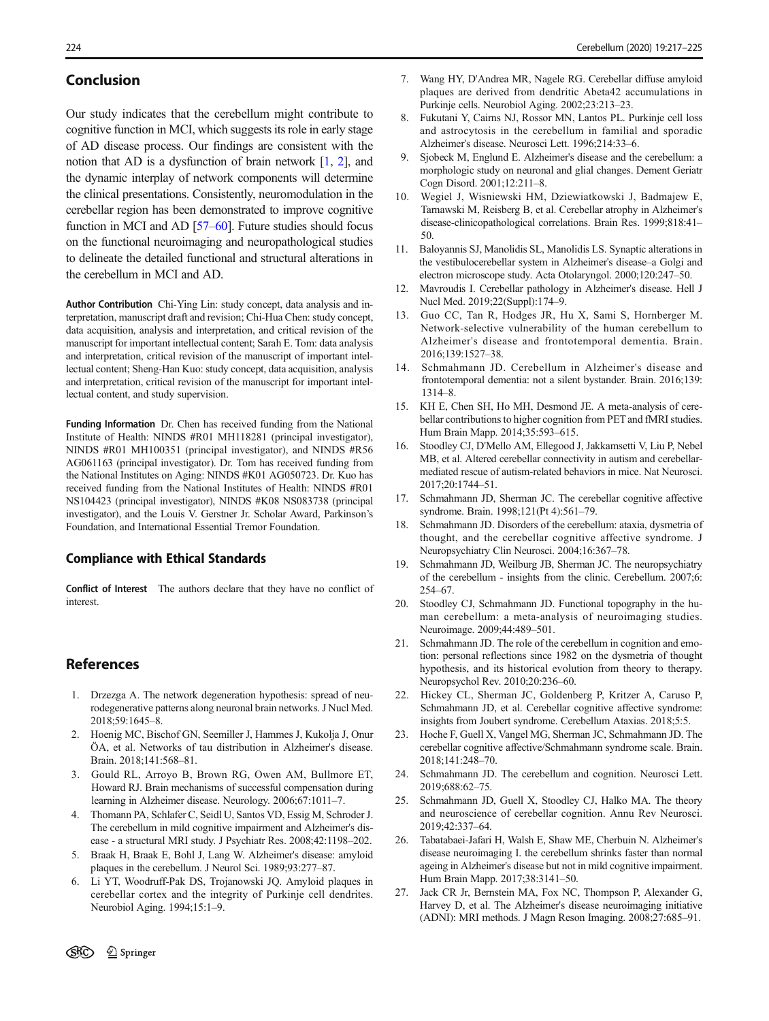# <span id="page-7-0"></span>Conclusion

Our study indicates that the cerebellum might contribute to cognitive function in MCI, which suggests its role in early stage of AD disease process. Our findings are consistent with the notion that AD is a dysfunction of brain network  $[1, 2]$ , and the dynamic interplay of network components will determine the clinical presentations. Consistently, neuromodulation in the cerebellar region has been demonstrated to improve cognitive function in MCI and AD [\[57](#page-8-0)–[60](#page-8-0)]. Future studies should focus on the functional neuroimaging and neuropathological studies to delineate the detailed functional and structural alterations in the cerebellum in MCI and AD.

Author Contribution Chi-Ying Lin: study concept, data analysis and interpretation, manuscript draft and revision; Chi-Hua Chen: study concept, data acquisition, analysis and interpretation, and critical revision of the manuscript for important intellectual content; Sarah E. Tom: data analysis and interpretation, critical revision of the manuscript of important intellectual content; Sheng-Han Kuo: study concept, data acquisition, analysis and interpretation, critical revision of the manuscript for important intellectual content, and study supervision.

Funding Information Dr. Chen has received funding from the National Institute of Health: NINDS #R01 MH118281 (principal investigator), NINDS #R01 MH100351 (principal investigator), and NINDS #R56 AG061163 (principal investigator). Dr. Tom has received funding from the National Institutes on Aging: NINDS #K01 AG050723. Dr. Kuo has received funding from the National Institutes of Health: NINDS #R01 NS104423 (principal investigator), NINDS #K08 NS083738 (principal investigator), and the Louis V. Gerstner Jr. Scholar Award, Parkinson's Foundation, and International Essential Tremor Foundation.

### Compliance with Ethical Standards

Conflict of Interest The authors declare that they have no conflict of interest.

# References

- 1. Drzezga A. The network degeneration hypothesis: spread of neurodegenerative patterns along neuronal brain networks. J Nucl Med. 2018;59:1645–8.
- 2. Hoenig MC, Bischof GN, Seemiller J, Hammes J, Kukolja J, Onur ÖA, et al. Networks of tau distribution in Alzheimer's disease. Brain. 2018;141:568–81.
- 3. Gould RL, Arroyo B, Brown RG, Owen AM, Bullmore ET, Howard RJ. Brain mechanisms of successful compensation during learning in Alzheimer disease. Neurology. 2006;67:1011–7.
- 4. Thomann PA, Schlafer C, Seidl U, Santos VD, Essig M, Schroder J. The cerebellum in mild cognitive impairment and Alzheimer's disease - a structural MRI study. J Psychiatr Res. 2008;42:1198–202.
- 5. Braak H, Braak E, Bohl J, Lang W. Alzheimer's disease: amyloid plaques in the cerebellum. J Neurol Sci. 1989;93:277–87.
- 6. Li YT, Woodruff-Pak DS, Trojanowski JQ. Amyloid plaques in cerebellar cortex and the integrity of Purkinje cell dendrites. Neurobiol Aging. 1994;15:1–9.
- 7. Wang HY, D'Andrea MR, Nagele RG. Cerebellar diffuse amyloid plaques are derived from dendritic Abeta42 accumulations in Purkinje cells. Neurobiol Aging. 2002;23:213–23.
- 8. Fukutani Y, Cairns NJ, Rossor MN, Lantos PL. Purkinje cell loss and astrocytosis in the cerebellum in familial and sporadic Alzheimer's disease. Neurosci Lett. 1996;214:33–6.
- 9. Sjobeck M, Englund E. Alzheimer's disease and the cerebellum: a morphologic study on neuronal and glial changes. Dement Geriatr Cogn Disord. 2001;12:211–8.
- 10. Wegiel J, Wisniewski HM, Dziewiatkowski J, Badmajew E, Tarnawski M, Reisberg B, et al. Cerebellar atrophy in Alzheimer's disease-clinicopathological correlations. Brain Res. 1999;818:41– 50.
- 11. Baloyannis SJ, Manolidis SL, Manolidis LS. Synaptic alterations in the vestibulocerebellar system in Alzheimer's disease–a Golgi and electron microscope study. Acta Otolaryngol. 2000;120:247–50.
- 12. Mavroudis I. Cerebellar pathology in Alzheimer's disease. Hell J Nucl Med. 2019;22(Suppl):174–9.
- 13. Guo CC, Tan R, Hodges JR, Hu X, Sami S, Hornberger M. Network-selective vulnerability of the human cerebellum to Alzheimer's disease and frontotemporal dementia. Brain. 2016;139:1527–38.
- 14. Schmahmann JD. Cerebellum in Alzheimer's disease and frontotemporal dementia: not a silent bystander. Brain. 2016;139: 1314–8.
- 15. KH E, Chen SH, Ho MH, Desmond JE. A meta-analysis of cerebellar contributions to higher cognition from PET and fMRI studies. Hum Brain Mapp. 2014;35:593–615.
- 16. Stoodley CJ, D'Mello AM, Ellegood J, Jakkamsetti V, Liu P, Nebel MB, et al. Altered cerebellar connectivity in autism and cerebellarmediated rescue of autism-related behaviors in mice. Nat Neurosci. 2017;20:1744–51.
- 17. Schmahmann JD, Sherman JC. The cerebellar cognitive affective syndrome. Brain. 1998;121(Pt 4):561–79.
- 18. Schmahmann JD. Disorders of the cerebellum: ataxia, dysmetria of thought, and the cerebellar cognitive affective syndrome. J Neuropsychiatry Clin Neurosci. 2004;16:367–78.
- Schmahmann JD, Weilburg JB, Sherman JC. The neuropsychiatry of the cerebellum - insights from the clinic. Cerebellum. 2007;6: 254–67.
- 20. Stoodley CJ, Schmahmann JD. Functional topography in the human cerebellum: a meta-analysis of neuroimaging studies. Neuroimage. 2009;44:489–501.
- 21. Schmahmann JD. The role of the cerebellum in cognition and emotion: personal reflections since 1982 on the dysmetria of thought hypothesis, and its historical evolution from theory to therapy. Neuropsychol Rev. 2010;20:236–60.
- 22. Hickey CL, Sherman JC, Goldenberg P, Kritzer A, Caruso P, Schmahmann JD, et al. Cerebellar cognitive affective syndrome: insights from Joubert syndrome. Cerebellum Ataxias. 2018;5:5.
- 23. Hoche F, Guell X, Vangel MG, Sherman JC, Schmahmann JD. The cerebellar cognitive affective/Schmahmann syndrome scale. Brain. 2018;141:248–70.
- 24. Schmahmann JD. The cerebellum and cognition. Neurosci Lett. 2019;688:62–75.
- 25. Schmahmann JD, Guell X, Stoodley CJ, Halko MA. The theory and neuroscience of cerebellar cognition. Annu Rev Neurosci. 2019;42:337–64.
- 26. Tabatabaei-Jafari H, Walsh E, Shaw ME, Cherbuin N. Alzheimer's disease neuroimaging I. the cerebellum shrinks faster than normal ageing in Alzheimer's disease but not in mild cognitive impairment. Hum Brain Mapp. 2017;38:3141–50.
- 27. Jack CR Jr, Bernstein MA, Fox NC, Thompson P, Alexander G, Harvey D, et al. The Alzheimer's disease neuroimaging initiative (ADNI): MRI methods. J Magn Reson Imaging. 2008;27:685–91.